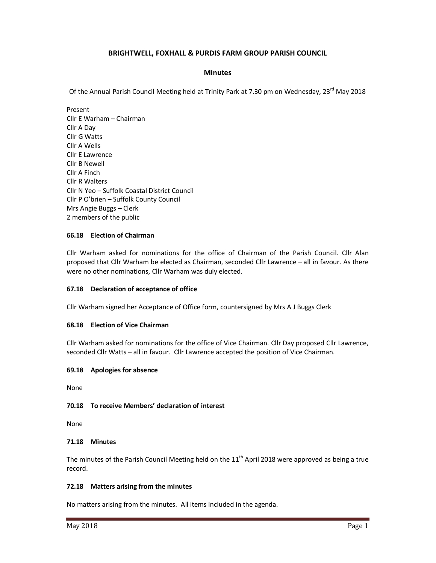# **BRIGHTWELL, FOXHALL & PURDIS FARM GROUP PARISH COUNCIL**

## **Minutes**

Of the Annual Parish Council Meeting held at Trinity Park at 7.30 pm on Wednesday, 23<sup>rd</sup> May 2018

Present Cllr E Warham – Chairman Cllr A Day Cllr G Watts Cllr A Wells Cllr E Lawrence Cllr B Newell Cllr A Finch Cllr R Walters Cllr N Yeo – Suffolk Coastal District Council Cllr P O'brien – Suffolk County Council Mrs Angie Buggs – Clerk 2 members of the public

### **66.18 Election of Chairman**

Cllr Warham asked for nominations for the office of Chairman of the Parish Council. Cllr Alan proposed that Cllr Warham be elected as Chairman, seconded Cllr Lawrence – all in favour. As there were no other nominations, Cllr Warham was duly elected.

### **67.18 Declaration of acceptance of office**

Cllr Warham signed her Acceptance of Office form, countersigned by Mrs A J Buggs Clerk

### **68.18 Election of Vice Chairman**

Cllr Warham asked for nominations for the office of Vice Chairman. Cllr Day proposed Cllr Lawrence, seconded Cllr Watts – all in favour. Cllr Lawrence accepted the position of Vice Chairman.

### **69.18 Apologies for absence**

None

## **70.18 To receive Members' declaration of interest**

None

### **71.18 Minutes**

The minutes of the Parish Council Meeting held on the  $11<sup>th</sup>$  April 2018 were approved as being a true record.

### **72.18 Matters arising from the minutes**

No matters arising from the minutes. All items included in the agenda.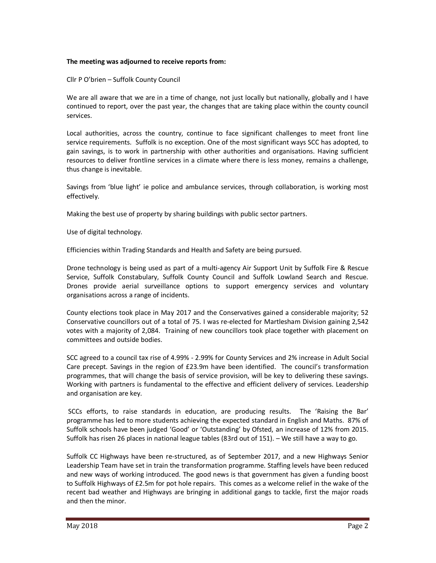### **The meeting was adjourned to receive reports from:**

Cllr P O'brien – Suffolk County Council

We are all aware that we are in a time of change, not just locally but nationally, globally and I have continued to report, over the past year, the changes that are taking place within the county council services.

Local authorities, across the country, continue to face significant challenges to meet front line service requirements. Suffolk is no exception. One of the most significant ways SCC has adopted, to gain savings, is to work in partnership with other authorities and organisations. Having sufficient resources to deliver frontline services in a climate where there is less money, remains a challenge, thus change is inevitable.

Savings from 'blue light' ie police and ambulance services, through collaboration, is working most effectively.

Making the best use of property by sharing buildings with public sector partners.

Use of digital technology.

Efficiencies within Trading Standards and Health and Safety are being pursued.

Drone technology is being used as part of a multi-agency Air Support Unit by Suffolk Fire & Rescue Service, Suffolk Constabulary, Suffolk County Council and Suffolk Lowland Search and Rescue. Drones provide aerial surveillance options to support emergency services and voluntary organisations across a range of incidents.

County elections took place in May 2017 and the Conservatives gained a considerable majority; 52 Conservative councillors out of a total of 75. I was re-elected for Martlesham Division gaining 2,542 votes with a majority of 2,084. Training of new councillors took place together with placement on committees and outside bodies.

SCC agreed to a council tax rise of 4.99% - 2.99% for County Services and 2% increase in Adult Social Care precept. Savings in the region of £23.9m have been identified. The council's transformation programmes, that will change the basis of service provision, will be key to delivering these savings. Working with partners is fundamental to the effective and efficient delivery of services. Leadership and organisation are key.

 SCCs efforts, to raise standards in education, are producing results. The 'Raising the Bar' programme has led to more students achieving the expected standard in English and Maths. 87% of Suffolk schools have been judged 'Good' or 'Outstanding' by Ofsted, an increase of 12% from 2015. Suffolk has risen 26 places in national league tables (83rd out of 151). – We still have a way to go.

Suffolk CC Highways have been re-structured, as of September 2017, and a new Highways Senior Leadership Team have set in train the transformation programme. Staffing levels have been reduced and new ways of working introduced. The good news is that government has given a funding boost to Suffolk Highways of £2.5m for pot hole repairs. This comes as a welcome relief in the wake of the recent bad weather and Highways are bringing in additional gangs to tackle, first the major roads and then the minor.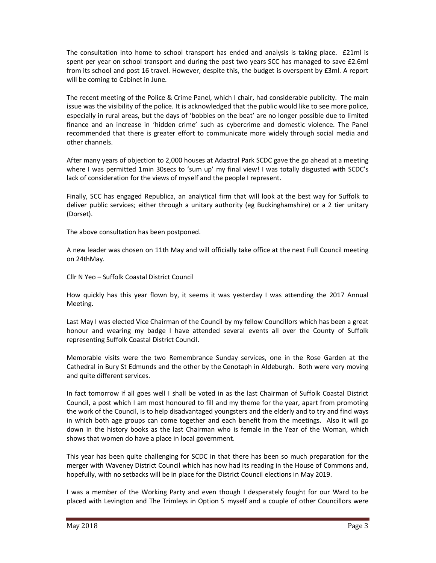The consultation into home to school transport has ended and analysis is taking place. £21ml is spent per year on school transport and during the past two years SCC has managed to save £2.6ml from its school and post 16 travel. However, despite this, the budget is overspent by £3ml. A report will be coming to Cabinet in June.

The recent meeting of the Police & Crime Panel, which I chair, had considerable publicity. The main issue was the visibility of the police. It is acknowledged that the public would like to see more police, especially in rural areas, but the days of 'bobbies on the beat' are no longer possible due to limited finance and an increase in 'hidden crime' such as cybercrime and domestic violence. The Panel recommended that there is greater effort to communicate more widely through social media and other channels.

After many years of objection to 2,000 houses at Adastral Park SCDC gave the go ahead at a meeting where I was permitted 1min 30secs to 'sum up' my final view! I was totally disgusted with SCDC's lack of consideration for the views of myself and the people I represent.

Finally, SCC has engaged Republica, an analytical firm that will look at the best way for Suffolk to deliver public services; either through a unitary authority (eg Buckinghamshire) or a 2 tier unitary (Dorset).

The above consultation has been postponed.

A new leader was chosen on 11th May and will officially take office at the next Full Council meeting on 24thMay.

Cllr N Yeo – Suffolk Coastal District Council

How quickly has this year flown by, it seems it was yesterday I was attending the 2017 Annual Meeting.

Last May I was elected Vice Chairman of the Council by my fellow Councillors which has been a great honour and wearing my badge I have attended several events all over the County of Suffolk representing Suffolk Coastal District Council.

Memorable visits were the two Remembrance Sunday services, one in the Rose Garden at the Cathedral in Bury St Edmunds and the other by the Cenotaph in Aldeburgh. Both were very moving and quite different services.

In fact tomorrow if all goes well I shall be voted in as the last Chairman of Suffolk Coastal District Council, a post which I am most honoured to fill and my theme for the year, apart from promoting the work of the Council, is to help disadvantaged youngsters and the elderly and to try and find ways in which both age groups can come together and each benefit from the meetings. Also it will go down in the history books as the last Chairman who is female in the Year of the Woman, which shows that women do have a place in local government.

This year has been quite challenging for SCDC in that there has been so much preparation for the merger with Waveney District Council which has now had its reading in the House of Commons and, hopefully, with no setbacks will be in place for the District Council elections in May 2019.

I was a member of the Working Party and even though I desperately fought for our Ward to be placed with Levington and The Trimleys in Option 5 myself and a couple of other Councillors were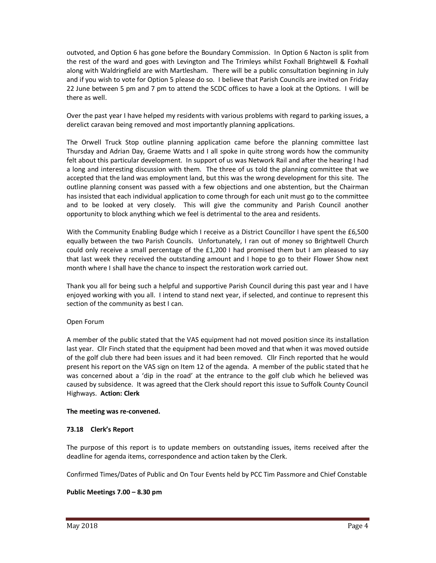outvoted, and Option 6 has gone before the Boundary Commission. In Option 6 Nacton is split from the rest of the ward and goes with Levington and The Trimleys whilst Foxhall Brightwell & Foxhall along with Waldringfield are with Martlesham. There will be a public consultation beginning in July and if you wish to vote for Option 5 please do so. I believe that Parish Councils are invited on Friday 22 June between 5 pm and 7 pm to attend the SCDC offices to have a look at the Options. I will be there as well.

Over the past year I have helped my residents with various problems with regard to parking issues, a derelict caravan being removed and most importantly planning applications.

The Orwell Truck Stop outline planning application came before the planning committee last Thursday and Adrian Day, Graeme Watts and I all spoke in quite strong words how the community felt about this particular development. In support of us was Network Rail and after the hearing I had a long and interesting discussion with them. The three of us told the planning committee that we accepted that the land was employment land, but this was the wrong development for this site. The outline planning consent was passed with a few objections and one abstention, but the Chairman has insisted that each individual application to come through for each unit must go to the committee and to be looked at very closely. This will give the community and Parish Council another opportunity to block anything which we feel is detrimental to the area and residents.

With the Community Enabling Budge which I receive as a District Councillor I have spent the £6,500 equally between the two Parish Councils. Unfortunately, I ran out of money so Brightwell Church could only receive a small percentage of the £1,200 I had promised them but I am pleased to say that last week they received the outstanding amount and I hope to go to their Flower Show next month where I shall have the chance to inspect the restoration work carried out.

Thank you all for being such a helpful and supportive Parish Council during this past year and I have enjoyed working with you all. I intend to stand next year, if selected, and continue to represent this section of the community as best I can.

## Open Forum

A member of the public stated that the VAS equipment had not moved position since its installation last year. Cllr Finch stated that the equipment had been moved and that when it was moved outside of the golf club there had been issues and it had been removed. Cllr Finch reported that he would present his report on the VAS sign on Item 12 of the agenda. A member of the public stated that he was concerned about a 'dip in the road' at the entrance to the golf club which he believed was caused by subsidence. It was agreed that the Clerk should report this issue to Suffolk County Council Highways. **Action: Clerk**

### **The meeting was re-convened.**

## **73.18 Clerk's Report**

The purpose of this report is to update members on outstanding issues, items received after the deadline for agenda items, correspondence and action taken by the Clerk.

Confirmed Times/Dates of Public and On Tour Events held by PCC Tim Passmore and Chief Constable

## **Public Meetings 7.00 – 8.30 pm**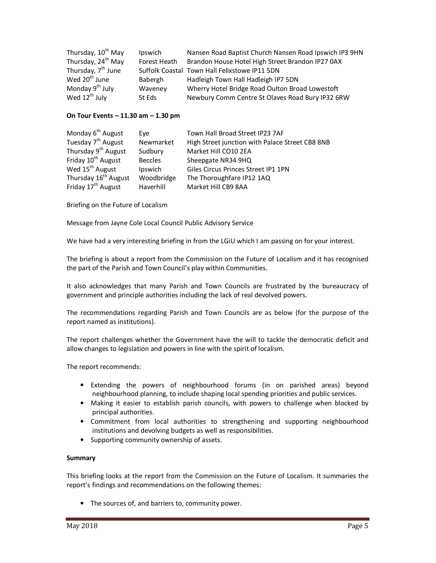| Thursday, 10 <sup>th</sup> May | Ipswich      | Nansen Road Baptist Church Nansen Road Ipswich IP3 9HN |
|--------------------------------|--------------|--------------------------------------------------------|
| Thursday, 24 <sup>th</sup> May | Forest Heath | Brandon House Hotel High Street Brandon IP27 0AX       |
| Thursday, 7 <sup>th</sup> June |              | Suffolk Coastal Town Hall Felixstowe IP11 5DN          |
| Wed 20 <sup>th</sup> June      | Babergh      | Hadleigh Town Hall Hadleigh IP7 5DN                    |
| Monday 9 <sup>th</sup> July    | Waveney      | Wherry Hotel Bridge Road Oulton Broad Lowestoft        |
| Wed 12 <sup>th</sup> July      | St Eds       | Newbury Comm Centre St Olaves Road Bury IP32 6RW       |

### **On Tour Events – 11.30 am – 1.30 pm**

| Monday 6 <sup>th</sup> August    | Eve            | Town Hall Broad Street IP23 7AF                 |
|----------------------------------|----------------|-------------------------------------------------|
| Tuesday 7 <sup>th</sup> August   | Newmarket      | High Street junction with Palace Street CB8 8NB |
| Thursday 9 <sup>th</sup> August  | Sudbury        | Market Hill CO10 2EA                            |
| Friday 10 <sup>th</sup> August   | <b>Beccles</b> | Sheepgate NR34 9HQ                              |
| Wed 15 <sup>th</sup> August      | Ipswich        | Giles Circus Princes Street IP1 1PN             |
| Thursday 16 <sup>th</sup> August | Woodbridge     | The Thoroughfare IP12 1AQ                       |
| Friday 17 <sup>th</sup> August   | Haverhill      | Market Hill CB9 8AA                             |

Briefing on the Future of Localism

Message from Jayne Cole Local Council Public Advisory Service

We have had a very interesting briefing in from the LGiU which I am passing on for your interest.

The briefing is about a report from the Commission on the Future of Localism and it has recognised the part of the Parish and Town Council's play within Communities.

It also acknowledges that many Parish and Town Councils are frustrated by the bureaucracy of government and principle authorities including the lack of real devolved powers.

The recommendations regarding Parish and Town Councils are as below (for the purpose of the report named as institutions).

The report challenges whether the Government have the will to tackle the democratic deficit and allow changes to legislation and powers in line with the spirit of localism.

The report recommends:

- Extending the powers of neighbourhood forums (in on parished areas) beyond neighbourhood planning, to include shaping local spending priorities and public services.
- Making it easier to establish parish councils, with powers to challenge when blocked by principal authorities.
- Commitment from local authorities to strengthening and supporting neighbourhood institutions and devolving budgets as well as responsibilities.
- Supporting community ownership of assets.

### **Summary**

This briefing looks at the report from the Commission on the Future of Localism. It summaries the report's findings and recommendations on the following themes:

• The sources of, and barriers to, community power.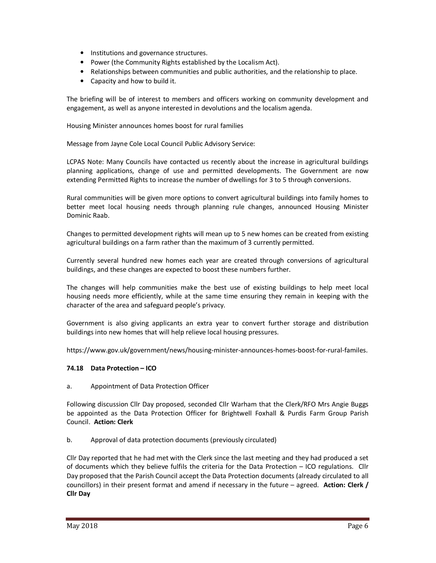- Institutions and governance structures.
- Power (the Community Rights established by the Localism Act).
- Relationships between communities and public authorities, and the relationship to place.
- Capacity and how to build it.

The briefing will be of interest to members and officers working on community development and engagement, as well as anyone interested in devolutions and the localism agenda.

Housing Minister announces homes boost for rural families

Message from Jayne Cole Local Council Public Advisory Service:

LCPAS Note: Many Councils have contacted us recently about the increase in agricultural buildings planning applications, change of use and permitted developments. The Government are now extending Permitted Rights to increase the number of dwellings for 3 to 5 through conversions.

Rural communities will be given more options to convert agricultural buildings into family homes to better meet local housing needs through planning rule changes, announced Housing Minister Dominic Raab.

Changes to permitted development rights will mean up to 5 new homes can be created from existing agricultural buildings on a farm rather than the maximum of 3 currently permitted.

Currently several hundred new homes each year are created through conversions of agricultural buildings, and these changes are expected to boost these numbers further.

The changes will help communities make the best use of existing buildings to help meet local housing needs more efficiently, while at the same time ensuring they remain in keeping with the character of the area and safeguard people's privacy.

Government is also giving applicants an extra year to convert further storage and distribution buildings into new homes that will help relieve local housing pressures.

https://www.gov.uk/government/news/housing-minister-announces-homes-boost-for-rural-familes.

## **74.18 Data Protection – ICO**

a. Appointment of Data Protection Officer

Following discussion Cllr Day proposed, seconded Cllr Warham that the Clerk/RFO Mrs Angie Buggs be appointed as the Data Protection Officer for Brightwell Foxhall & Purdis Farm Group Parish Council. **Action: Clerk**

b. Approval of data protection documents (previously circulated)

Cllr Day reported that he had met with the Clerk since the last meeting and they had produced a set of documents which they believe fulfils the criteria for the Data Protection – ICO regulations. Cllr Day proposed that the Parish Council accept the Data Protection documents (already circulated to all councillors) in their present format and amend if necessary in the future – agreed. **Action: Clerk / Cllr Day**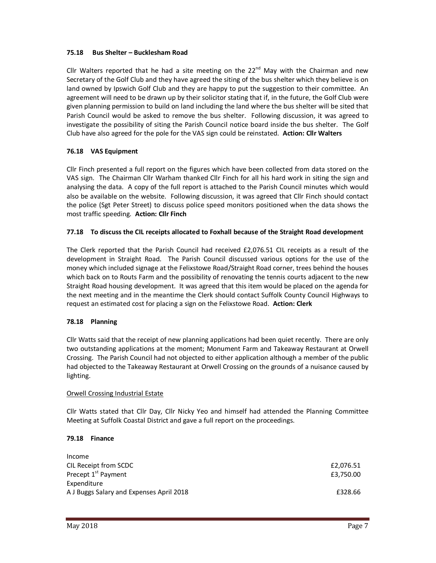## **75.18 Bus Shelter – Bucklesham Road**

Cllr Walters reported that he had a site meeting on the  $22^{nd}$  May with the Chairman and new Secretary of the Golf Club and they have agreed the siting of the bus shelter which they believe is on land owned by Ipswich Golf Club and they are happy to put the suggestion to their committee. An agreement will need to be drawn up by their solicitor stating that if, in the future, the Golf Club were given planning permission to build on land including the land where the bus shelter will be sited that Parish Council would be asked to remove the bus shelter. Following discussion, it was agreed to investigate the possibility of siting the Parish Council notice board inside the bus shelter. The Golf Club have also agreed for the pole for the VAS sign could be reinstated. **Action: Cllr Walters** 

## **76.18 VAS Equipment**

Cllr Finch presented a full report on the figures which have been collected from data stored on the VAS sign. The Chairman Cllr Warham thanked Cllr Finch for all his hard work in siting the sign and analysing the data. A copy of the full report is attached to the Parish Council minutes which would also be available on the website. Following discussion, it was agreed that Cllr Finch should contact the police (Sgt Peter Street) to discuss police speed monitors positioned when the data shows the most traffic speeding. **Action: Cllr Finch** 

### **77.18 To discuss the CIL receipts allocated to Foxhall because of the Straight Road development**

The Clerk reported that the Parish Council had received £2,076.51 CIL receipts as a result of the development in Straight Road. The Parish Council discussed various options for the use of the money which included signage at the Felixstowe Road/Straight Road corner, trees behind the houses which back on to Routs Farm and the possibility of renovating the tennis courts adjacent to the new Straight Road housing development. It was agreed that this item would be placed on the agenda for the next meeting and in the meantime the Clerk should contact Suffolk County Council Highways to request an estimated cost for placing a sign on the Felixstowe Road. **Action: Clerk** 

### **78.18 Planning**

Cllr Watts said that the receipt of new planning applications had been quiet recently. There are only two outstanding applications at the moment; Monument Farm and Takeaway Restaurant at Orwell Crossing. The Parish Council had not objected to either application although a member of the public had objected to the Takeaway Restaurant at Orwell Crossing on the grounds of a nuisance caused by lighting.

### Orwell Crossing Industrial Estate

Cllr Watts stated that Cllr Day, Cllr Nicky Yeo and himself had attended the Planning Committee Meeting at Suffolk Coastal District and gave a full report on the proceedings.

## **79.18 Finance**

| Income                                   |           |
|------------------------------------------|-----------|
| CIL Receipt from SCDC                    | £2,076.51 |
| Precept 1 <sup>st</sup> Payment          | £3.750.00 |
| Expenditure                              |           |
| A J Buggs Salary and Expenses April 2018 | £328.66   |
|                                          |           |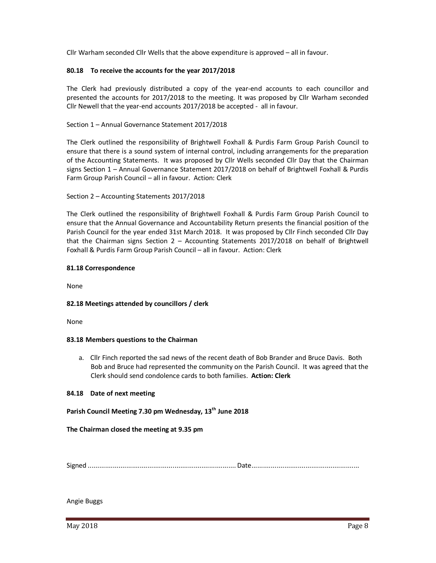Cllr Warham seconded Cllr Wells that the above expenditure is approved – all in favour.

### **80.18 To receive the accounts for the year 2017/2018**

The Clerk had previously distributed a copy of the year-end accounts to each councillor and presented the accounts for 2017/2018 to the meeting. It was proposed by Cllr Warham seconded Cllr Newell that the year-end accounts 2017/2018 be accepted - all in favour.

### Section 1 – Annual Governance Statement 2017/2018

The Clerk outlined the responsibility of Brightwell Foxhall & Purdis Farm Group Parish Council to ensure that there is a sound system of internal control, including arrangements for the preparation of the Accounting Statements. It was proposed by Cllr Wells seconded Cllr Day that the Chairman signs Section 1 – Annual Governance Statement 2017/2018 on behalf of Brightwell Foxhall & Purdis Farm Group Parish Council – all in favour. Action: Clerk

### Section 2 – Accounting Statements 2017/2018

The Clerk outlined the responsibility of Brightwell Foxhall & Purdis Farm Group Parish Council to ensure that the Annual Governance and Accountability Return presents the financial position of the Parish Council for the year ended 31st March 2018. It was proposed by Cllr Finch seconded Cllr Day that the Chairman signs Section 2 – Accounting Statements 2017/2018 on behalf of Brightwell Foxhall & Purdis Farm Group Parish Council – all in favour. Action: Clerk

### **81.18 Correspondence**

None

### **82.18 Meetings attended by councillors / clerk**

None

### **83.18 Members questions to the Chairman**

a. Cllr Finch reported the sad news of the recent death of Bob Brander and Bruce Davis. Both Bob and Bruce had represented the community on the Parish Council. It was agreed that the Clerk should send condolence cards to both families. **Action: Clerk**

### **84.18 Date of next meeting**

## **Parish Council Meeting 7.30 pm Wednesday, 13th June 2018**

### **The Chairman closed the meeting at 9.35 pm**

Signed ............................................................................. Date ........................................................

Angie Buggs